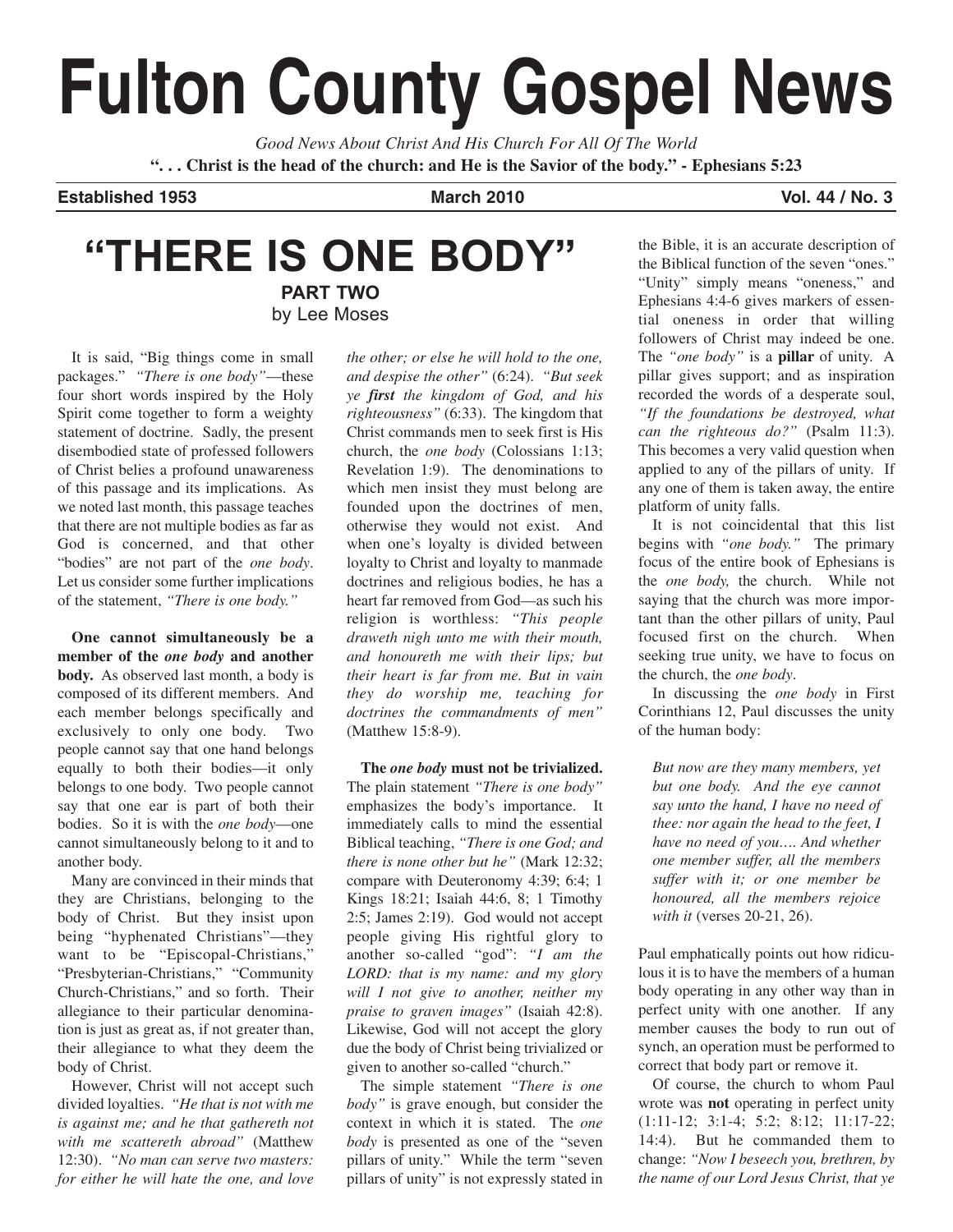# **Fulton County Gospel News**

*Good News About Christ And His Church For All Of The World* **". . . Christ is the head of the church: and He is the Savior of the body." - Ephesians 5:23**

**Established 1953 March 2010 Vol. 44 / No. 3**

## **"THERE IS ONE BODY" PART TWO** by Lee Moses

It is said, "Big things come in small packages." *"There is one body"*—these four short words inspired by the Holy Spirit come together to form a weighty statement of doctrine. Sadly, the present disembodied state of professed followers of Christ belies a profound unawareness of this passage and its implications. As we noted last month, this passage teaches that there are not multiple bodies as far as God is concerned, and that other "bodies" are not part of the *one body*. Let us consider some further implications of the statement, *"There is one body."*

**One cannot simultaneously be a member of the** *one body* **and another body.** As observed last month, a body is composed of its different members. And each member belongs specifically and exclusively to only one body. Two people cannot say that one hand belongs equally to both their bodies—it only belongs to one body. Two people cannot say that one ear is part of both their bodies. So it is with the *one body*—one cannot simultaneously belong to it and to another body.

Many are convinced in their minds that they are Christians, belonging to the body of Christ. But they insist upon being "hyphenated Christians"—they want to be "Episcopal-Christians," "Presbyterian-Christians," "Community Church-Christians," and so forth. Their allegiance to their particular denomination is just as great as, if not greater than, their allegiance to what they deem the body of Christ.

However, Christ will not accept such divided loyalties. *"He that is not with me is against me; and he that gathereth not with me scattereth abroad"* (Matthew 12:30). *"No man can serve two masters: for either he will hate the one, and love*

*the other; or else he will hold to the one, and despise the other"* (6:24). *"But seek ye first the kingdom of God, and his righteousness"* (6:33). The kingdom that Christ commands men to seek first is His church, the *one body* (Colossians 1:13; Revelation 1:9). The denominations to which men insist they must belong are founded upon the doctrines of men, otherwise they would not exist. And when one's loyalty is divided between loyalty to Christ and loyalty to manmade doctrines and religious bodies, he has a heart far removed from God—as such his religion is worthless: *"This people draweth nigh unto me with their mouth, and honoureth me with their lips; but their heart is far from me. But in vain they do worship me, teaching for doctrines the commandments of men"* (Matthew 15:8-9).

**The** *one body* **must not be trivialized.** The plain statement *"There is one body"* emphasizes the body's importance. It immediately calls to mind the essential Biblical teaching, *"There is one God; and there is none other but he"* (Mark 12:32; compare with Deuteronomy 4:39; 6:4; 1 Kings 18:21; Isaiah 44:6, 8; 1 Timothy 2:5; James 2:19). God would not accept people giving His rightful glory to another so-called "god": *"I am the LORD: that is my name: and my glory will I not give to another, neither my praise to graven images"* (Isaiah 42:8). Likewise, God will not accept the glory due the body of Christ being trivialized or given to another so-called "church."

The simple statement *"There is one body"* is grave enough, but consider the context in which it is stated. The *one body* is presented as one of the "seven pillars of unity." While the term "seven pillars of unity" is not expressly stated in

the Bible, it is an accurate description of the Biblical function of the seven "ones." "Unity" simply means "oneness," and Ephesians 4:4-6 gives markers of essential oneness in order that willing followers of Christ may indeed be one. The *"one body"* is a **pillar** of unity. A pillar gives support; and as inspiration recorded the words of a desperate soul, *"If the foundations be destroyed, what can the righteous do?"* (Psalm 11:3). This becomes a very valid question when applied to any of the pillars of unity. If any one of them is taken away, the entire platform of unity falls.

It is not coincidental that this list begins with *"one body."* The primary focus of the entire book of Ephesians is the *one body,* the church. While not saying that the church was more important than the other pillars of unity, Paul focused first on the church. When seeking true unity, we have to focus on the church, the *one body*.

In discussing the *one body* in First Corinthians 12, Paul discusses the unity of the human body:

*But now are they many members, yet but one body. And the eye cannot say unto the hand, I have no need of thee: nor again the head to the feet, I have no need of you…. And whether one member suffer, all the members suffer with it; or one member be honoured, all the members rejoice with it* (verses 20-21, 26).

Paul emphatically points out how ridiculous it is to have the members of a human body operating in any other way than in perfect unity with one another. If any member causes the body to run out of synch, an operation must be performed to correct that body part or remove it.

Of course, the church to whom Paul wrote was **not** operating in perfect unity (1:11-12; 3:1-4; 5:2; 8:12; 11:17-22; 14:4). But he commanded them to change: *"Now I beseech you, brethren, by the name of our Lord Jesus Christ, that ye*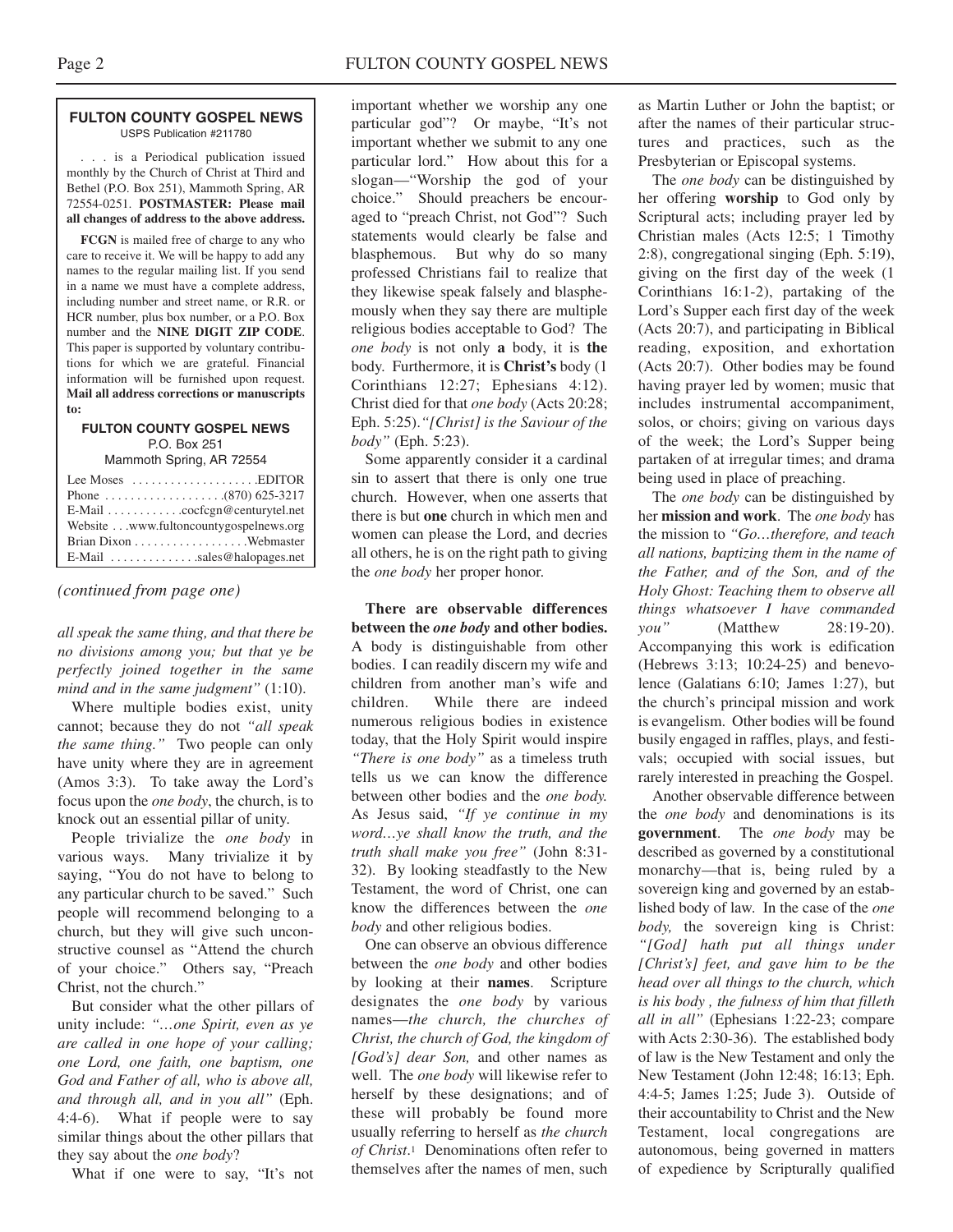#### **FULTON COUNTY GOSPEL NEWS** USPS Publication #211780

. . . is a Periodical publication issued monthly by the Church of Christ at Third and Bethel (P.O. Box 251), Mammoth Spring, AR 72554-0251. **POSTMASTER: Please mail all changes of address to the above address.**

**FCGN** is mailed free of charge to any who care to receive it. We will be happy to add any names to the regular mailing list. If you send in a name we must have a complete address, including number and street name, or R.R. or HCR number, plus box number, or a P.O. Box number and the **NINE DIGIT ZIP CODE**. This paper is supported by voluntary contributions for which we are grateful. Financial information will be furnished upon request. **Mail all address corrections or manuscripts to:**

#### **FULTON COUNTY GOSPEL NEWS** P.O. Box 251

Mammoth Spring, AR 72554

| Lee Moses $\dots \dots \dots \dots \dots$ . EDITOR |
|----------------------------------------------------|
|                                                    |
| E-Mail cocfcgn@centurytel.net                      |
| Website www.fultoncountygospelnews.org             |
|                                                    |
| $E$ -Mail $\ldots$ sales@halopages.net             |

#### *(continued from page one)*

*all speak the same thing, and that there be no divisions among you; but that ye be perfectly joined together in the same mind and in the same judgment"* (1:10).

Where multiple bodies exist, unity cannot; because they do not *"all speak the same thing."* Two people can only have unity where they are in agreement (Amos 3:3). To take away the Lord's focus upon the *one body*, the church, is to knock out an essential pillar of unity.

People trivialize the *one body* in various ways. Many trivialize it by saying, "You do not have to belong to any particular church to be saved." Such people will recommend belonging to a church, but they will give such unconstructive counsel as "Attend the church of your choice." Others say, "Preach Christ, not the church."

But consider what the other pillars of unity include: *"…one Spirit, even as ye are called in one hope of your calling; one Lord, one faith, one baptism, one God and Father of all, who is above all, and through all, and in you all"* (Eph. 4:4-6). What if people were to say similar things about the other pillars that they say about the *one body*?

What if one were to say, "It's not

important whether we worship any one particular god"? Or maybe, "It's not important whether we submit to any one particular lord." How about this for a slogan—"Worship the god of your choice." Should preachers be encouraged to "preach Christ, not God"? Such statements would clearly be false and blasphemous. But why do so many professed Christians fail to realize that they likewise speak falsely and blasphemously when they say there are multiple religious bodies acceptable to God? The *one body* is not only **a** body, it is **the** body. Furthermore, it is **Christ's** body (1 Corinthians 12:27; Ephesians 4:12). Christ died for that *one body* (Acts 20:28; Eph. 5:25).*"[Christ] is the Saviour of the body"* (Eph. 5:23).

Some apparently consider it a cardinal sin to assert that there is only one true church. However, when one asserts that there is but **one** church in which men and women can please the Lord, and decries all others, he is on the right path to giving the *one body* her proper honor.

**There are observable differences between the** *one body* **and other bodies.** A body is distinguishable from other bodies. I can readily discern my wife and children from another man's wife and children. While there are indeed numerous religious bodies in existence today, that the Holy Spirit would inspire *"There is one body"* as a timeless truth tells us we can know the difference between other bodies and the *one body.* As Jesus said, *"If ye continue in my word…ye shall know the truth, and the truth shall make you free"* (John 8:31- 32). By looking steadfastly to the New Testament, the word of Christ, one can know the differences between the *one body* and other religious bodies.

One can observe an obvious difference between the *one body* and other bodies by looking at their **names**. Scripture designates the *one body* by various names—*the church, the churches of Christ, the church of God, the kingdom of [God's] dear Son,* and other names as well. The *one body* will likewise refer to herself by these designations; and of these will probably be found more usually referring to herself as *the church of Christ*.1 Denominations often refer to themselves after the names of men, such

as Martin Luther or John the baptist; or after the names of their particular structures and practices, such as the Presbyterian or Episcopal systems.

The *one body* can be distinguished by her offering **worship** to God only by Scriptural acts; including prayer led by Christian males (Acts 12:5; 1 Timothy 2:8), congregational singing (Eph. 5:19), giving on the first day of the week (1 Corinthians 16:1-2), partaking of the Lord's Supper each first day of the week (Acts 20:7), and participating in Biblical reading, exposition, and exhortation (Acts 20:7). Other bodies may be found having prayer led by women; music that includes instrumental accompaniment, solos, or choirs; giving on various days of the week; the Lord's Supper being partaken of at irregular times; and drama being used in place of preaching.

The *one body* can be distinguished by her **mission and work**. The *one body* has the mission to *"Go…therefore, and teach all nations, baptizing them in the name of the Father, and of the Son, and of the Holy Ghost: Teaching them to observe all things whatsoever I have commanded you"* (Matthew 28:19-20). Accompanying this work is edification (Hebrews 3:13; 10:24-25) and benevolence (Galatians 6:10; James 1:27), but the church's principal mission and work is evangelism. Other bodies will be found busily engaged in raffles, plays, and festivals; occupied with social issues, but rarely interested in preaching the Gospel.

Another observable difference between the *one body* and denominations is its **government**. The *one body* may be described as governed by a constitutional monarchy—that is, being ruled by a sovereign king and governed by an established body of law. In the case of the *one body,* the sovereign king is Christ: *"[God] hath put all things under [Christ's] feet, and gave him to be the head over all things to the church, which is his body , the fulness of him that filleth all in all"* (Ephesians 1:22-23; compare with Acts 2:30-36). The established body of law is the New Testament and only the New Testament (John 12:48; 16:13; Eph. 4:4-5; James 1:25; Jude 3). Outside of their accountability to Christ and the New Testament, local congregations are autonomous, being governed in matters of expedience by Scripturally qualified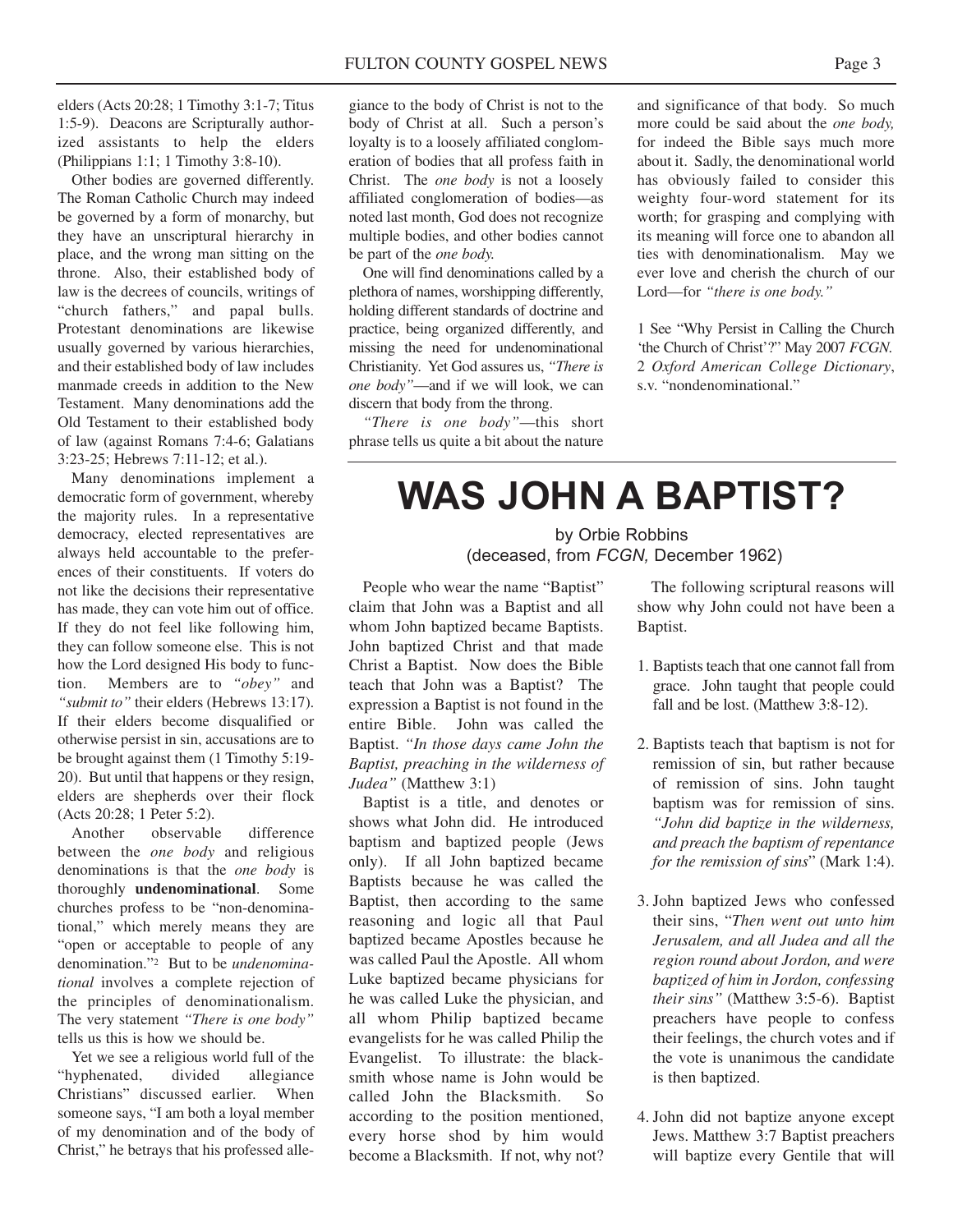elders (Acts 20:28; 1 Timothy 3:1-7; Titus 1:5-9). Deacons are Scripturally authorized assistants to help the elders (Philippians 1:1; 1 Timothy 3:8-10).

Other bodies are governed differently. The Roman Catholic Church may indeed be governed by a form of monarchy, but they have an unscriptural hierarchy in place, and the wrong man sitting on the throne. Also, their established body of law is the decrees of councils, writings of "church fathers," and papal bulls. Protestant denominations are likewise usually governed by various hierarchies, and their established body of law includes manmade creeds in addition to the New Testament. Many denominations add the Old Testament to their established body of law (against Romans 7:4-6; Galatians 3:23-25; Hebrews 7:11-12; et al.).

Many denominations implement a democratic form of government, whereby the majority rules. In a representative democracy, elected representatives are always held accountable to the preferences of their constituents. If voters do not like the decisions their representative has made, they can vote him out of office. If they do not feel like following him, they can follow someone else. This is not how the Lord designed His body to function. Members are to *"obey"* and *"submit to"* their elders (Hebrews 13:17). If their elders become disqualified or otherwise persist in sin, accusations are to be brought against them (1 Timothy 5:19- 20). But until that happens or they resign, elders are shepherds over their flock (Acts 20:28; 1 Peter 5:2).

Another observable difference between the *one body* and religious denominations is that the *one body* is thoroughly **undenominational**. Some churches profess to be "non-denominational," which merely means they are "open or acceptable to people of any denomination."2 But to be *undenominational* involves a complete rejection of the principles of denominationalism. The very statement *"There is one body"* tells us this is how we should be.

Yet we see a religious world full of the "hyphenated, divided allegiance Christians" discussed earlier. When someone says, "I am both a loyal member of my denomination and of the body of Christ," he betrays that his professed allegiance to the body of Christ is not to the body of Christ at all. Such a person's loyalty is to a loosely affiliated conglomeration of bodies that all profess faith in Christ. The *one body* is not a loosely affiliated conglomeration of bodies—as noted last month, God does not recognize multiple bodies, and other bodies cannot be part of the *one body.*

One will find denominations called by a plethora of names, worshipping differently, holding different standards of doctrine and practice, being organized differently, and missing the need for undenominational Christianity. Yet God assures us, *"There is one body"*—and if we will look, we can discern that body from the throng.

*"There is one body"*—this short phrase tells us quite a bit about the nature

and significance of that body. So much more could be said about the *one body,* for indeed the Bible says much more about it. Sadly, the denominational world has obviously failed to consider this weighty four-word statement for its worth; for grasping and complying with its meaning will force one to abandon all ties with denominationalism. May we ever love and cherish the church of our Lord—for *"there is one body."*

1 See "Why Persist in Calling the Church 'the Church of Christ'?" May 2007 *FCGN.* 2 *Oxford American College Dictionary*, s.v. "nondenominational."

# **WAS JOHN A BAPTIST?**

#### by Orbie Robbins (deceased, from *FCGN,* December 1962)

People who wear the name "Baptist" claim that John was a Baptist and all whom John baptized became Baptists. John baptized Christ and that made Christ a Baptist. Now does the Bible teach that John was a Baptist? The expression a Baptist is not found in the entire Bible. John was called the Baptist. *"In those days came John the Baptist, preaching in the wilderness of Judea"* (Matthew 3:1)

Baptist is a title, and denotes or shows what John did. He introduced baptism and baptized people (Jews only). If all John baptized became Baptists because he was called the Baptist, then according to the same reasoning and logic all that Paul baptized became Apostles because he was called Paul the Apostle. All whom Luke baptized became physicians for he was called Luke the physician, and all whom Philip baptized became evangelists for he was called Philip the Evangelist. To illustrate: the blacksmith whose name is John would be called John the Blacksmith. So according to the position mentioned, every horse shod by him would become a Blacksmith. If not, why not?

The following scriptural reasons will show why John could not have been a Baptist.

- 1. Baptists teach that one cannot fall from grace. John taught that people could fall and be lost. (Matthew 3:8-12).
- 2. Baptists teach that baptism is not for remission of sin, but rather because of remission of sins. John taught baptism was for remission of sins. *"John did baptize in the wilderness, and preach the baptism of repentance for the remission of sins*" (Mark 1:4).
- 3. John baptized Jews who confessed their sins, "*Then went out unto him Jerusalem, and all Judea and all the region round about Jordon, and were baptized of him in Jordon, confessing their sins"* (Matthew 3:5-6). Baptist preachers have people to confess their feelings, the church votes and if the vote is unanimous the candidate is then baptized.
- 4. John did not baptize anyone except Jews. Matthew 3:7 Baptist preachers will baptize every Gentile that will